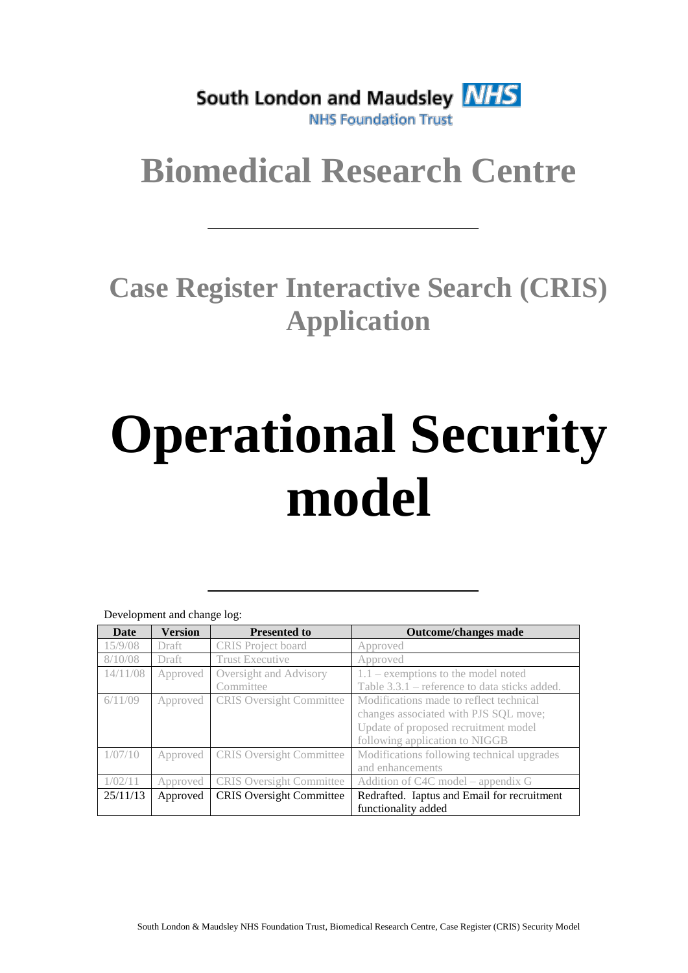South London and Maudsley NHS **NHS Foundation Trust** 

## **Biomedical Research Centre**

### **Case Register Interactive Search (CRIS) Application**

# **Operational Security model**

| Development and change log: |                |                                 |                                                                                  |  |  |  |
|-----------------------------|----------------|---------------------------------|----------------------------------------------------------------------------------|--|--|--|
| <b>Date</b>                 | <b>Version</b> | <b>Presented to</b>             | <b>Outcome/changes made</b>                                                      |  |  |  |
| 15/9/08                     | Draft          | CRIS Project board              | Approved                                                                         |  |  |  |
| 8/10/08                     | <b>Draft</b>   | <b>Trust Executive</b>          | Approved                                                                         |  |  |  |
| 14/11/08                    | Approved       | Oversight and Advisory          | $1.1$ – exemptions to the model noted                                            |  |  |  |
|                             |                | Committee                       | Table 3.3.1 – reference to data sticks added.                                    |  |  |  |
| 6/11/09                     | Approved       | <b>CRIS</b> Oversight Committee | Modifications made to reflect technical<br>changes associated with PJS SQL move; |  |  |  |
|                             |                |                                 | Update of proposed recruitment model<br>following application to NIGGB           |  |  |  |
| (07/10)                     | Approved       | <b>CRIS</b> Oversight Committee | Modifications following technical upgrades<br>and enhancements                   |  |  |  |
|                             | Approved       | <b>CRIS</b> Oversight Committee | Addition of C4C model – appendix G                                               |  |  |  |
| 25/11/13                    | Approved       | <b>CRIS</b> Oversight Committee | Redrafted. Iaptus and Email for recruitment                                      |  |  |  |
|                             |                |                                 | functionality added                                                              |  |  |  |

Development and change log: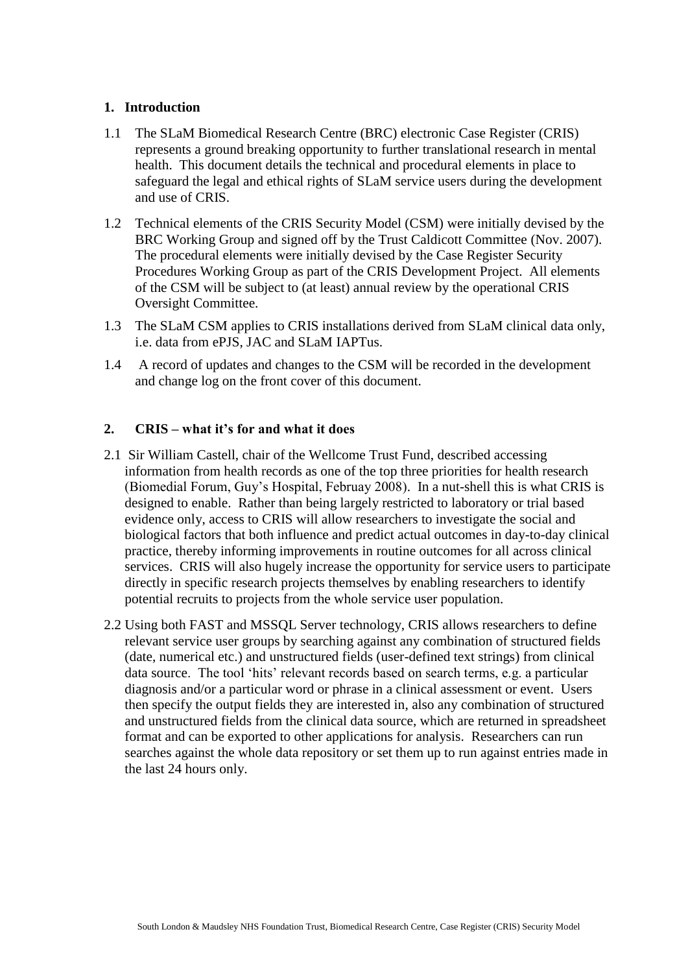#### **1. Introduction**

- 1.1 The SLaM Biomedical Research Centre (BRC) electronic Case Register (CRIS) represents a ground breaking opportunity to further translational research in mental health. This document details the technical and procedural elements in place to safeguard the legal and ethical rights of SLaM service users during the development and use of CRIS.
- 1.2 Technical elements of the CRIS Security Model (CSM) were initially devised by the BRC Working Group and signed off by the Trust Caldicott Committee (Nov. 2007). The procedural elements were initially devised by the Case Register Security Procedures Working Group as part of the CRIS Development Project. All elements of the CSM will be subject to (at least) annual review by the operational CRIS Oversight Committee.
- 1.3 The SLaM CSM applies to CRIS installations derived from SLaM clinical data only, i.e. data from ePJS, JAC and SLaM IAPTus.
- 1.4 A record of updates and changes to the CSM will be recorded in the development and change log on the front cover of this document.

#### **2. CRIS – what it's for and what it does**

- 2.1 Sir William Castell, chair of the Wellcome Trust Fund, described accessing information from health records as one of the top three priorities for health research (Biomedial Forum, Guy's Hospital, Februay 2008). In a nut-shell this is what CRIS is designed to enable. Rather than being largely restricted to laboratory or trial based evidence only, access to CRIS will allow researchers to investigate the social and biological factors that both influence and predict actual outcomes in day-to-day clinical practice, thereby informing improvements in routine outcomes for all across clinical services. CRIS will also hugely increase the opportunity for service users to participate directly in specific research projects themselves by enabling researchers to identify potential recruits to projects from the whole service user population.
- 2.2 Using both FAST and MSSQL Server technology, CRIS allows researchers to define relevant service user groups by searching against any combination of structured fields (date, numerical etc.) and unstructured fields (user-defined text strings) from clinical data source. The tool 'hits' relevant records based on search terms, e.g. a particular diagnosis and/or a particular word or phrase in a clinical assessment or event. Users then specify the output fields they are interested in, also any combination of structured and unstructured fields from the clinical data source, which are returned in spreadsheet format and can be exported to other applications for analysis. Researchers can run searches against the whole data repository or set them up to run against entries made in the last 24 hours only.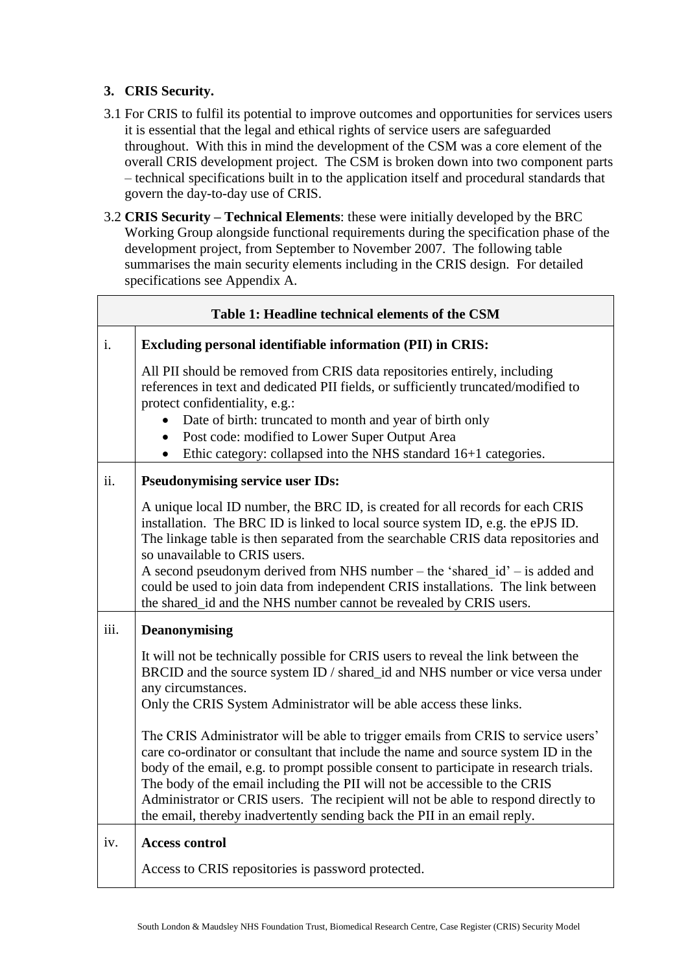#### **3. CRIS Security.**

- 3.1 For CRIS to fulfil its potential to improve outcomes and opportunities for services users it is essential that the legal and ethical rights of service users are safeguarded throughout. With this in mind the development of the CSM was a core element of the overall CRIS development project. The CSM is broken down into two component parts – technical specifications built in to the application itself and procedural standards that govern the day-to-day use of CRIS.
- 3.2 **CRIS Security – Technical Elements**: these were initially developed by the BRC Working Group alongside functional requirements during the specification phase of the development project, from September to November 2007. The following table summarises the main security elements including in the CRIS design. For detailed specifications see Appendix A.

| Table 1: Headline technical elements of the CSM |                                                                                                                                                                                                                                                                                                                                                                                                                                                                                                                                      |  |  |  |  |
|-------------------------------------------------|--------------------------------------------------------------------------------------------------------------------------------------------------------------------------------------------------------------------------------------------------------------------------------------------------------------------------------------------------------------------------------------------------------------------------------------------------------------------------------------------------------------------------------------|--|--|--|--|
| i.                                              | <b>Excluding personal identifiable information (PII) in CRIS:</b>                                                                                                                                                                                                                                                                                                                                                                                                                                                                    |  |  |  |  |
|                                                 | All PII should be removed from CRIS data repositories entirely, including<br>references in text and dedicated PII fields, or sufficiently truncated/modified to<br>protect confidentiality, e.g.:<br>Date of birth: truncated to month and year of birth only<br>Post code: modified to Lower Super Output Area<br>$\bullet$<br>Ethic category: collapsed into the NHS standard 16+1 categories.<br>$\bullet$                                                                                                                        |  |  |  |  |
| ii.                                             | <b>Pseudonymising service user IDs:</b>                                                                                                                                                                                                                                                                                                                                                                                                                                                                                              |  |  |  |  |
|                                                 | A unique local ID number, the BRC ID, is created for all records for each CRIS<br>installation. The BRC ID is linked to local source system ID, e.g. the ePJS ID.<br>The linkage table is then separated from the searchable CRIS data repositories and<br>so unavailable to CRIS users.<br>A second pseudonym derived from NHS number – the 'shared $id$ ' – is added and<br>could be used to join data from independent CRIS installations. The link between<br>the shared_id and the NHS number cannot be revealed by CRIS users. |  |  |  |  |
| iii.                                            | <b>Deanonymising</b>                                                                                                                                                                                                                                                                                                                                                                                                                                                                                                                 |  |  |  |  |
|                                                 | It will not be technically possible for CRIS users to reveal the link between the<br>BRCID and the source system ID / shared_id and NHS number or vice versa under<br>any circumstances.<br>Only the CRIS System Administrator will be able access these links.                                                                                                                                                                                                                                                                      |  |  |  |  |
|                                                 | The CRIS Administrator will be able to trigger emails from CRIS to service users'<br>care co-ordinator or consultant that include the name and source system ID in the<br>body of the email, e.g. to prompt possible consent to participate in research trials.<br>The body of the email including the PII will not be accessible to the CRIS<br>Administrator or CRIS users. The recipient will not be able to respond directly to<br>the email, thereby inadvertently sending back the PII in an email reply.                      |  |  |  |  |
| iv.                                             | <b>Access control</b>                                                                                                                                                                                                                                                                                                                                                                                                                                                                                                                |  |  |  |  |
|                                                 | Access to CRIS repositories is password protected.                                                                                                                                                                                                                                                                                                                                                                                                                                                                                   |  |  |  |  |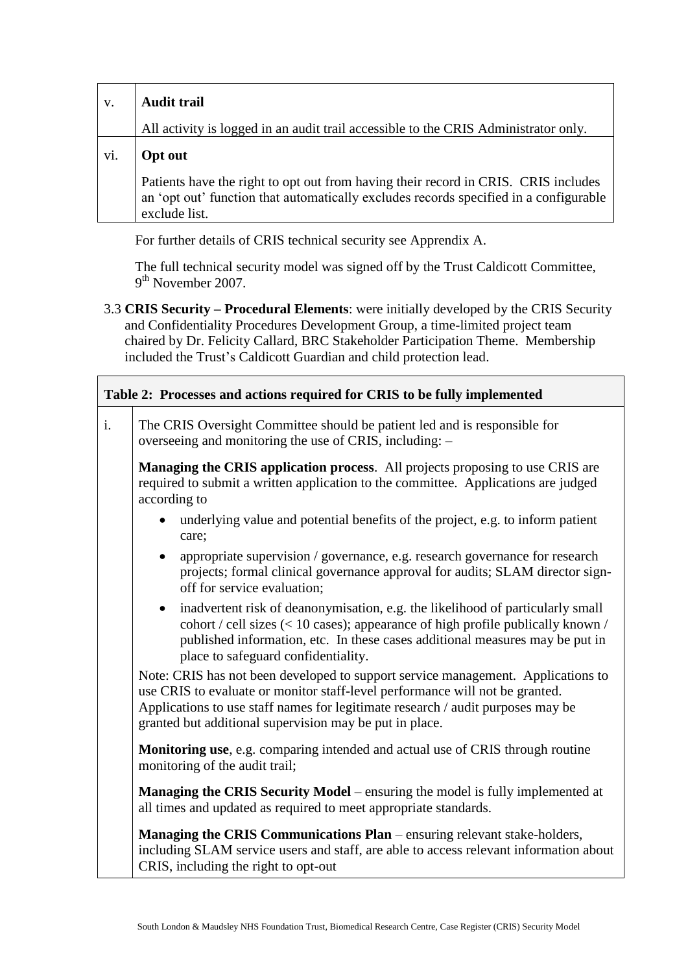| V.  | <b>Audit trail</b>                                                                                                                                                                           |  |  |
|-----|----------------------------------------------------------------------------------------------------------------------------------------------------------------------------------------------|--|--|
|     | All activity is logged in an audit trail accessible to the CRIS Administrator only.                                                                                                          |  |  |
| vi. | <b>Opt out</b>                                                                                                                                                                               |  |  |
|     | Patients have the right to opt out from having their record in CRIS. CRIS includes<br>an 'opt out' function that automatically excludes records specified in a configurable<br>exclude list. |  |  |

For further details of CRIS technical security see Apprendix A.

The full technical security model was signed off by the Trust Caldicott Committee, 9<sup>th</sup> November 2007.

3.3 **CRIS Security – Procedural Elements**: were initially developed by the CRIS Security and Confidentiality Procedures Development Group, a time-limited project team chaired by Dr. Felicity Callard, BRC Stakeholder Participation Theme. Membership included the Trust's Caldicott Guardian and child protection lead.

| Table 2: Processes and actions required for CRIS to be fully implemented |                                                                                                                                                                                                                                                                                                                |  |  |  |
|--------------------------------------------------------------------------|----------------------------------------------------------------------------------------------------------------------------------------------------------------------------------------------------------------------------------------------------------------------------------------------------------------|--|--|--|
| i.                                                                       | The CRIS Oversight Committee should be patient led and is responsible for<br>overseeing and monitoring the use of CRIS, including: -                                                                                                                                                                           |  |  |  |
|                                                                          | <b>Managing the CRIS application process.</b> All projects proposing to use CRIS are<br>required to submit a written application to the committee. Applications are judged<br>according to                                                                                                                     |  |  |  |
|                                                                          | underlying value and potential benefits of the project, e.g. to inform patient<br>care;                                                                                                                                                                                                                        |  |  |  |
|                                                                          | appropriate supervision / governance, e.g. research governance for research<br>$\bullet$<br>projects; formal clinical governance approval for audits; SLAM director sign-<br>off for service evaluation;                                                                                                       |  |  |  |
|                                                                          | inadvertent risk of deanonymisation, e.g. the likelihood of particularly small<br>$\bullet$<br>cohort / cell sizes (< 10 cases); appearance of high profile publically known /<br>published information, etc. In these cases additional measures may be put in<br>place to safeguard confidentiality.          |  |  |  |
|                                                                          | Note: CRIS has not been developed to support service management. Applications to<br>use CRIS to evaluate or monitor staff-level performance will not be granted.<br>Applications to use staff names for legitimate research / audit purposes may be<br>granted but additional supervision may be put in place. |  |  |  |
|                                                                          | <b>Monitoring use, e.g. comparing intended and actual use of CRIS through routine</b><br>monitoring of the audit trail;                                                                                                                                                                                        |  |  |  |
|                                                                          | Managing the CRIS Security Model – ensuring the model is fully implemented at<br>all times and updated as required to meet appropriate standards.                                                                                                                                                              |  |  |  |
|                                                                          | Managing the CRIS Communications Plan – ensuring relevant stake-holders,<br>including SLAM service users and staff, are able to access relevant information about<br>CRIS, including the right to opt-out                                                                                                      |  |  |  |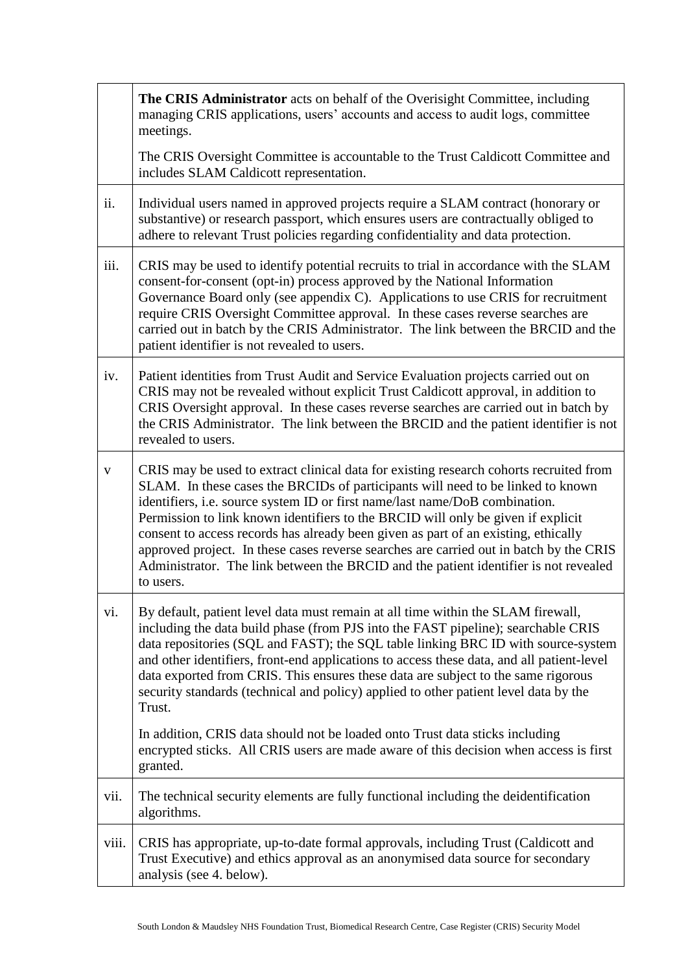|       | The CRIS Administrator acts on behalf of the Overisight Committee, including<br>managing CRIS applications, users' accounts and access to audit logs, committee<br>meetings.                                                                                                                                                                                                                                                                                                                                                                                                                                                      |  |  |
|-------|-----------------------------------------------------------------------------------------------------------------------------------------------------------------------------------------------------------------------------------------------------------------------------------------------------------------------------------------------------------------------------------------------------------------------------------------------------------------------------------------------------------------------------------------------------------------------------------------------------------------------------------|--|--|
|       | The CRIS Oversight Committee is accountable to the Trust Caldicott Committee and<br>includes SLAM Caldicott representation.                                                                                                                                                                                                                                                                                                                                                                                                                                                                                                       |  |  |
| ii.   | Individual users named in approved projects require a SLAM contract (honorary or<br>substantive) or research passport, which ensures users are contractually obliged to<br>adhere to relevant Trust policies regarding confidentiality and data protection.                                                                                                                                                                                                                                                                                                                                                                       |  |  |
| iii.  | CRIS may be used to identify potential recruits to trial in accordance with the SLAM<br>consent-for-consent (opt-in) process approved by the National Information<br>Governance Board only (see appendix C). Applications to use CRIS for recruitment<br>require CRIS Oversight Committee approval. In these cases reverse searches are<br>carried out in batch by the CRIS Administrator. The link between the BRCID and the<br>patient identifier is not revealed to users.                                                                                                                                                     |  |  |
| iv.   | Patient identities from Trust Audit and Service Evaluation projects carried out on<br>CRIS may not be revealed without explicit Trust Caldicott approval, in addition to<br>CRIS Oversight approval. In these cases reverse searches are carried out in batch by<br>the CRIS Administrator. The link between the BRCID and the patient identifier is not<br>revealed to users.                                                                                                                                                                                                                                                    |  |  |
| V     | CRIS may be used to extract clinical data for existing research cohorts recruited from<br>SLAM. In these cases the BRCIDs of participants will need to be linked to known<br>identifiers, i.e. source system ID or first name/last name/DoB combination.<br>Permission to link known identifiers to the BRCID will only be given if explicit<br>consent to access records has already been given as part of an existing, ethically<br>approved project. In these cases reverse searches are carried out in batch by the CRIS<br>Administrator. The link between the BRCID and the patient identifier is not revealed<br>to users. |  |  |
| vi.   | By default, patient level data must remain at all time within the SLAM firewall,<br>including the data build phase (from PJS into the FAST pipeline); searchable CRIS<br>data repositories (SQL and FAST); the SQL table linking BRC ID with source-system<br>and other identifiers, front-end applications to access these data, and all patient-level<br>data exported from CRIS. This ensures these data are subject to the same rigorous<br>security standards (technical and policy) applied to other patient level data by the<br>Trust.                                                                                    |  |  |
|       | In addition, CRIS data should not be loaded onto Trust data sticks including<br>encrypted sticks. All CRIS users are made aware of this decision when access is first<br>granted.                                                                                                                                                                                                                                                                                                                                                                                                                                                 |  |  |
| vii.  | The technical security elements are fully functional including the deidentification<br>algorithms.                                                                                                                                                                                                                                                                                                                                                                                                                                                                                                                                |  |  |
| viii. | CRIS has appropriate, up-to-date formal approvals, including Trust (Caldicott and<br>Trust Executive) and ethics approval as an anonymised data source for secondary<br>analysis (see 4. below).                                                                                                                                                                                                                                                                                                                                                                                                                                  |  |  |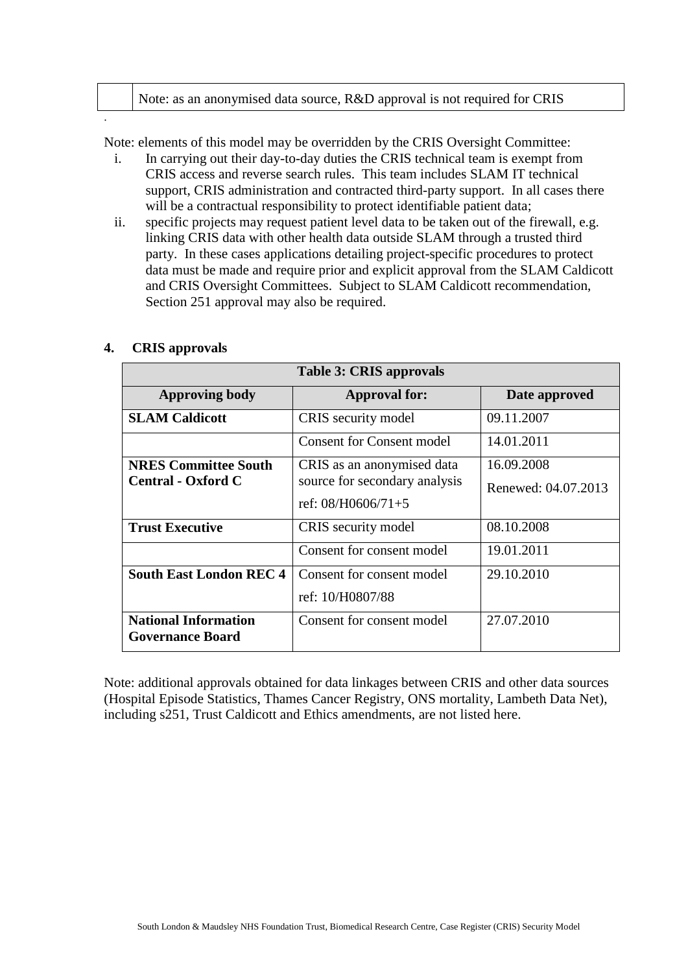| Note: as an anonymised data source, R&D approval is not required for CRIS |
|---------------------------------------------------------------------------|
|                                                                           |

Note: elements of this model may be overridden by the CRIS Oversight Committee:

- i. In carrying out their day-to-day duties the CRIS technical team is exempt from CRIS access and reverse search rules. This team includes SLAM IT technical support, CRIS administration and contracted third-party support. In all cases there will be a contractual responsibility to protect identifiable patient data;
- ii. specific projects may request patient level data to be taken out of the firewall, e.g. linking CRIS data with other health data outside SLAM through a trusted third party. In these cases applications detailing project-specific procedures to protect data must be made and require prior and explicit approval from the SLAM Caldicott and CRIS Oversight Committees. Subject to SLAM Caldicott recommendation, Section 251 approval may also be required.

| <b>Table 3: CRIS approvals</b>                         |                                                             |                     |  |  |
|--------------------------------------------------------|-------------------------------------------------------------|---------------------|--|--|
| <b>Approving body</b>                                  | <b>Approval for:</b>                                        | Date approved       |  |  |
| <b>SLAM Caldicott</b>                                  | CRIS security model                                         | 09.11.2007          |  |  |
|                                                        | <b>Consent for Consent model</b>                            | 14.01.2011          |  |  |
| <b>NRES Committee South</b>                            | CRIS as an anonymised data<br>source for secondary analysis | 16.09.2008          |  |  |
| <b>Central - Oxford C</b>                              |                                                             | Renewed: 04.07.2013 |  |  |
|                                                        | ref: $08/H0606/71+5$                                        |                     |  |  |
| <b>Trust Executive</b>                                 | CRIS security model                                         | 08.10.2008          |  |  |
|                                                        | Consent for consent model                                   | 19.01.2011          |  |  |
| <b>South East London REC 4</b>                         | Consent for consent model                                   | 29.10.2010          |  |  |
|                                                        | ref: 10/H0807/88                                            |                     |  |  |
| <b>National Information</b><br><b>Governance Board</b> | Consent for consent model                                   | 27.07.2010          |  |  |

#### **4. CRIS approvals**

.

Note: additional approvals obtained for data linkages between CRIS and other data sources (Hospital Episode Statistics, Thames Cancer Registry, ONS mortality, Lambeth Data Net), including s251, Trust Caldicott and Ethics amendments, are not listed here.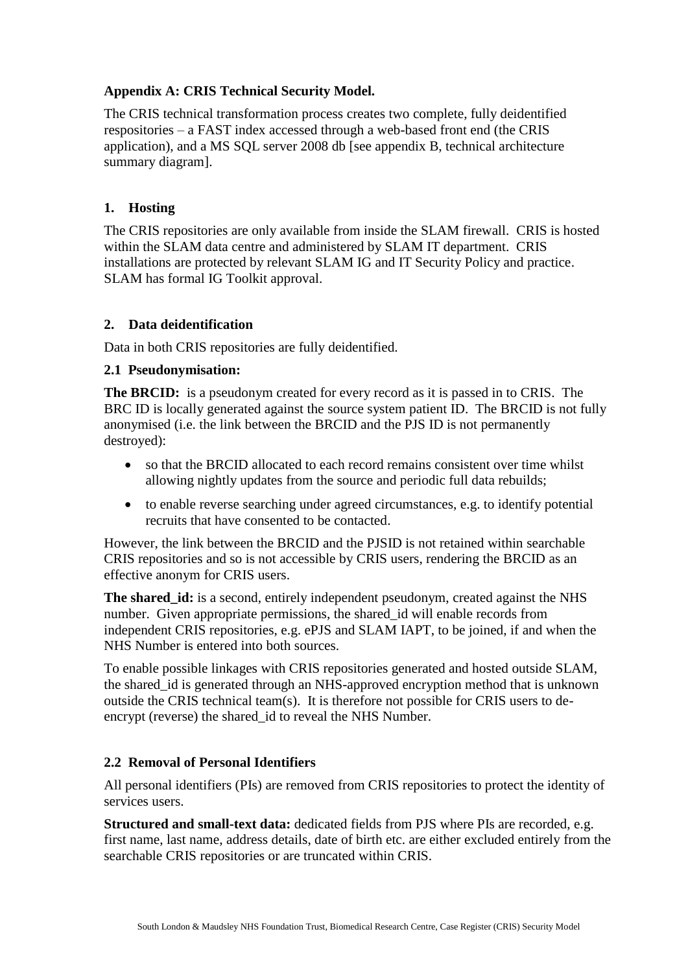#### **Appendix A: CRIS Technical Security Model.**

The CRIS technical transformation process creates two complete, fully deidentified respositories – a FAST index accessed through a web-based front end (the CRIS application), and a MS SQL server 2008 db [see appendix B, technical architecture summary diagram].

#### **1. Hosting**

The CRIS repositories are only available from inside the SLAM firewall. CRIS is hosted within the SLAM data centre and administered by SLAM IT department. CRIS installations are protected by relevant SLAM IG and IT Security Policy and practice. SLAM has formal IG Toolkit approval.

#### **2. Data deidentification**

Data in both CRIS repositories are fully deidentified.

#### **2.1 Pseudonymisation:**

**The BRCID:** is a pseudonym created for every record as it is passed in to CRIS. The BRC ID is locally generated against the source system patient ID. The BRCID is not fully anonymised (i.e. the link between the BRCID and the PJS ID is not permanently destroyed):

- so that the BRCID allocated to each record remains consistent over time whilst allowing nightly updates from the source and periodic full data rebuilds;
- to enable reverse searching under agreed circumstances, e.g. to identify potential recruits that have consented to be contacted.

However, the link between the BRCID and the PJSID is not retained within searchable CRIS repositories and so is not accessible by CRIS users, rendering the BRCID as an effective anonym for CRIS users.

**The shared\_id:** is a second, entirely independent pseudonym, created against the NHS number. Given appropriate permissions, the shared id will enable records from independent CRIS repositories, e.g. ePJS and SLAM IAPT, to be joined, if and when the NHS Number is entered into both sources.

To enable possible linkages with CRIS repositories generated and hosted outside SLAM, the shared\_id is generated through an NHS-approved encryption method that is unknown outside the CRIS technical team(s). It is therefore not possible for CRIS users to deencrypt (reverse) the shared\_id to reveal the NHS Number.

#### **2.2 Removal of Personal Identifiers**

All personal identifiers (PIs) are removed from CRIS repositories to protect the identity of services users.

**Structured and small-text data:** dedicated fields from PJS where PIs are recorded, e.g. first name, last name, address details, date of birth etc. are either excluded entirely from the searchable CRIS repositories or are truncated within CRIS.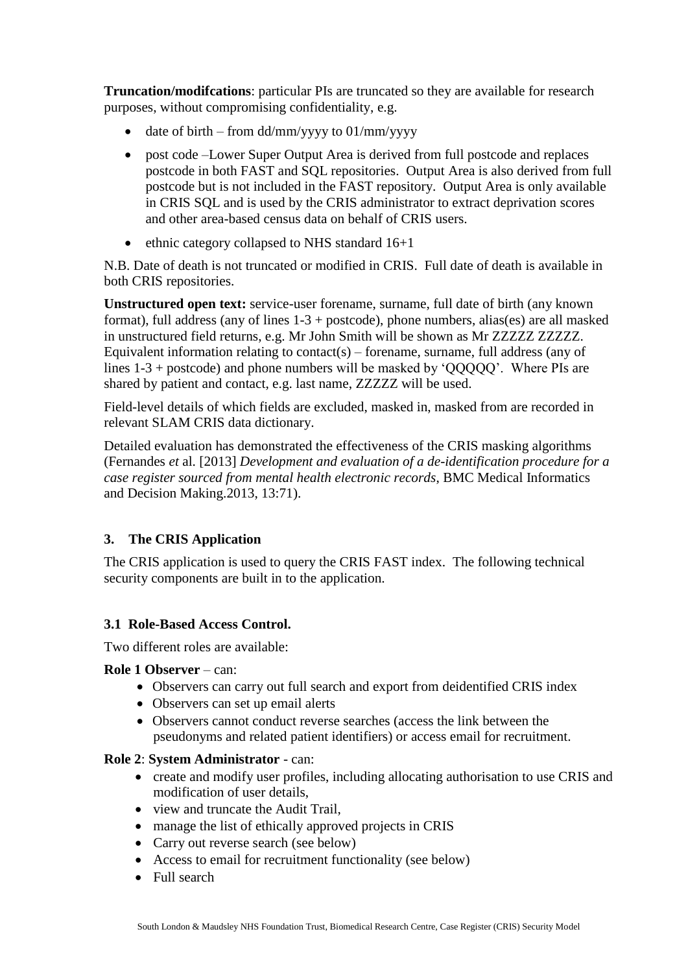**Truncation/modifcations**: particular PIs are truncated so they are available for research purposes, without compromising confidentiality, e.g.

- $\bullet$  date of birth from dd/mm/yyyy to 01/mm/yyyy
- post code –Lower Super Output Area is derived from full postcode and replaces postcode in both FAST and SQL repositories. Output Area is also derived from full postcode but is not included in the FAST repository. Output Area is only available in CRIS SQL and is used by the CRIS administrator to extract deprivation scores and other area-based census data on behalf of CRIS users.
- $\bullet$  ethnic category collapsed to NHS standard 16+1

N.B. Date of death is not truncated or modified in CRIS. Full date of death is available in both CRIS repositories.

**Unstructured open text:** service-user forename, surname, full date of birth (any known format), full address (any of lines  $1-3 +$  postcode), phone numbers, alias(es) are all masked in unstructured field returns, e.g. Mr John Smith will be shown as Mr ZZZZZ ZZZZZ. Equivalent information relating to contact(s) – forename, surname, full address (any of lines 1-3 + postcode) and phone numbers will be masked by 'QQQQQ'. Where PIs are shared by patient and contact, e.g. last name, ZZZZZ will be used.

Field-level details of which fields are excluded, masked in, masked from are recorded in relevant SLAM CRIS data dictionary.

Detailed evaluation has demonstrated the effectiveness of the CRIS masking algorithms (Fernandes *et* al. [2013] *Development and evaluation of a de-identification procedure for a case register sourced from mental health electronic records*, BMC Medical Informatics and Decision Making.2013, 13:71).

#### **3. The CRIS Application**

The CRIS application is used to query the CRIS FAST index. The following technical security components are built in to the application.

#### **3.1 Role-Based Access Control.**

Two different roles are available:

#### **Role 1 Observer** – can:

- Observers can carry out full search and export from deidentified CRIS index
- Observers can set up email alerts
- Observers cannot conduct reverse searches (access the link between the pseudonyms and related patient identifiers) or access email for recruitment.

#### **Role 2**: **System Administrator** - can:

- create and modify user profiles, including allocating authorisation to use CRIS and modification of user details,
- view and truncate the Audit Trail.
- manage the list of ethically approved projects in CRIS
- Carry out reverse search (see below)
- Access to email for recruitment functionality (see below)
- Full search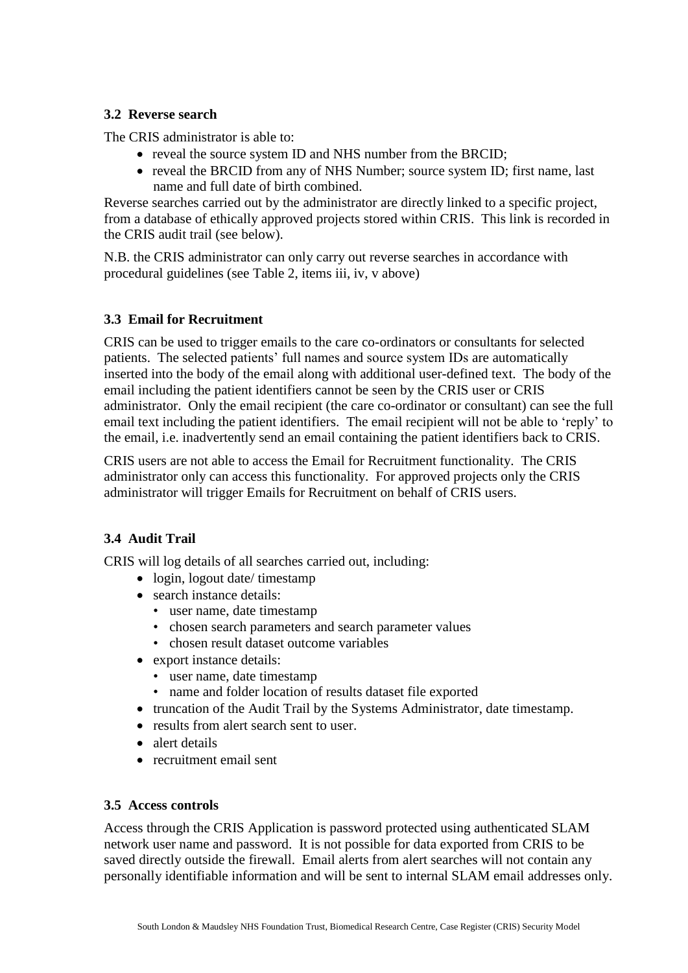#### **3.2 Reverse search**

The CRIS administrator is able to:

- reveal the source system ID and NHS number from the BRCID;
- reveal the BRCID from any of NHS Number; source system ID; first name, last name and full date of birth combined.

Reverse searches carried out by the administrator are directly linked to a specific project, from a database of ethically approved projects stored within CRIS. This link is recorded in the CRIS audit trail (see below).

N.B. the CRIS administrator can only carry out reverse searches in accordance with procedural guidelines (see Table 2, items iii, iv, v above)

#### **3.3 Email for Recruitment**

CRIS can be used to trigger emails to the care co-ordinators or consultants for selected patients. The selected patients' full names and source system IDs are automatically inserted into the body of the email along with additional user-defined text. The body of the email including the patient identifiers cannot be seen by the CRIS user or CRIS administrator. Only the email recipient (the care co-ordinator or consultant) can see the full email text including the patient identifiers. The email recipient will not be able to 'reply' to the email, i.e. inadvertently send an email containing the patient identifiers back to CRIS.

CRIS users are not able to access the Email for Recruitment functionality. The CRIS administrator only can access this functionality. For approved projects only the CRIS administrator will trigger Emails for Recruitment on behalf of CRIS users.

#### **3.4 Audit Trail**

CRIS will log details of all searches carried out, including:

- login, logout date/ timestamp
- search instance details:
	- user name, date timestamp
	- chosen search parameters and search parameter values
	- chosen result dataset outcome variables
- export instance details:
	- user name, date timestamp
	- name and folder location of results dataset file exported
- truncation of the Audit Trail by the Systems Administrator, date timestamp.
- results from a lert search sent to user.
- alert details
- recruitment email sent

#### **3.5 Access controls**

Access through the CRIS Application is password protected using authenticated SLAM network user name and password. It is not possible for data exported from CRIS to be saved directly outside the firewall. Email alerts from alert searches will not contain any personally identifiable information and will be sent to internal SLAM email addresses only.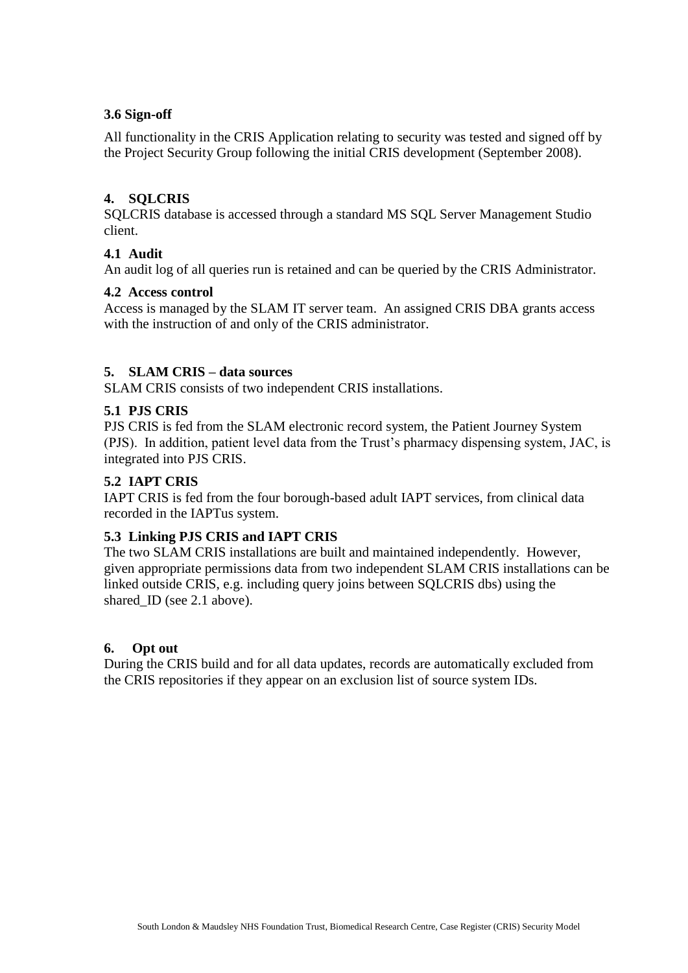#### **3.6 Sign-off**

All functionality in the CRIS Application relating to security was tested and signed off by the Project Security Group following the initial CRIS development (September 2008).

#### **4. SQLCRIS**

SQLCRIS database is accessed through a standard MS SQL Server Management Studio client.

#### **4.1 Audit**

An audit log of all queries run is retained and can be queried by the CRIS Administrator.

#### **4.2 Access control**

Access is managed by the SLAM IT server team. An assigned CRIS DBA grants access with the instruction of and only of the CRIS administrator.

#### **5. SLAM CRIS – data sources**

SLAM CRIS consists of two independent CRIS installations.

#### **5.1 PJS CRIS**

PJS CRIS is fed from the SLAM electronic record system, the Patient Journey System (PJS). In addition, patient level data from the Trust's pharmacy dispensing system, JAC, is integrated into PJS CRIS.

#### **5.2 IAPT CRIS**

IAPT CRIS is fed from the four borough-based adult IAPT services, from clinical data recorded in the IAPTus system.

#### **5.3 Linking PJS CRIS and IAPT CRIS**

The two SLAM CRIS installations are built and maintained independently. However, given appropriate permissions data from two independent SLAM CRIS installations can be linked outside CRIS, e.g. including query joins between SQLCRIS dbs) using the shared ID (see 2.1 above).

#### **6. Opt out**

During the CRIS build and for all data updates, records are automatically excluded from the CRIS repositories if they appear on an exclusion list of source system IDs.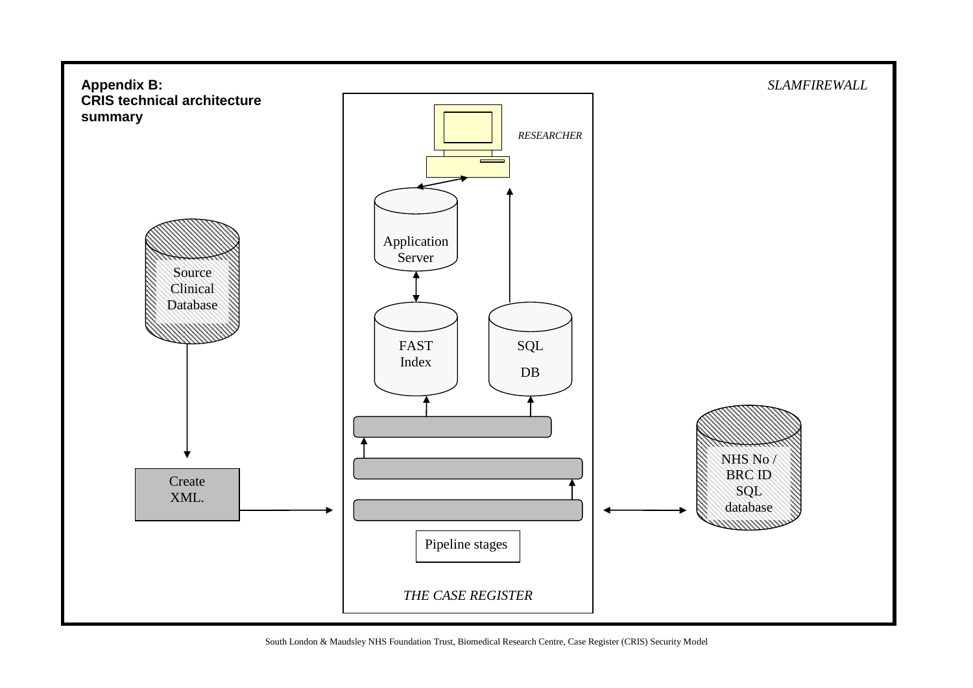

South London & Maudsley NHS Foundation Trust, Biomedical Research Centre, Case Register (CRIS) Security Model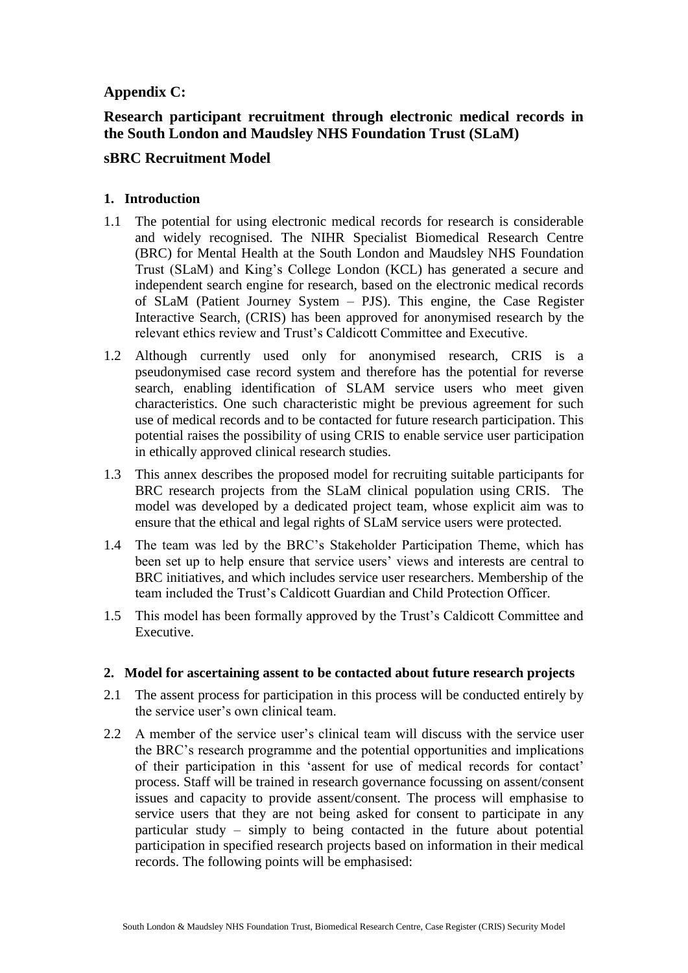#### **Appendix C:**

#### **Research participant recruitment through electronic medical records in the South London and Maudsley NHS Foundation Trust (SLaM)**

#### **sBRC Recruitment Model**

#### **1. Introduction**

- 1.1 The potential for using electronic medical records for research is considerable and widely recognised. The NIHR Specialist Biomedical Research Centre (BRC) for Mental Health at the South London and Maudsley NHS Foundation Trust (SLaM) and King's College London (KCL) has generated a secure and independent search engine for research, based on the electronic medical records of SLaM (Patient Journey System – PJS). This engine, the Case Register Interactive Search, (CRIS) has been approved for anonymised research by the relevant ethics review and Trust's Caldicott Committee and Executive.
- 1.2 Although currently used only for anonymised research, CRIS is a pseudonymised case record system and therefore has the potential for reverse search, enabling identification of SLAM service users who meet given characteristics. One such characteristic might be previous agreement for such use of medical records and to be contacted for future research participation. This potential raises the possibility of using CRIS to enable service user participation in ethically approved clinical research studies.
- 1.3 This annex describes the proposed model for recruiting suitable participants for BRC research projects from the SLaM clinical population using CRIS. The model was developed by a dedicated project team, whose explicit aim was to ensure that the ethical and legal rights of SLaM service users were protected.
- 1.4 The team was led by the BRC's Stakeholder Participation Theme, which has been set up to help ensure that service users' views and interests are central to BRC initiatives, and which includes service user researchers. Membership of the team included the Trust's Caldicott Guardian and Child Protection Officer.
- 1.5 This model has been formally approved by the Trust's Caldicott Committee and Executive.

#### **2. Model for ascertaining assent to be contacted about future research projects**

- 2.1 The assent process for participation in this process will be conducted entirely by the service user's own clinical team.
- 2.2 A member of the service user's clinical team will discuss with the service user the BRC's research programme and the potential opportunities and implications of their participation in this 'assent for use of medical records for contact' process. Staff will be trained in research governance focussing on assent/consent issues and capacity to provide assent/consent. The process will emphasise to service users that they are not being asked for consent to participate in any particular study – simply to being contacted in the future about potential participation in specified research projects based on information in their medical records. The following points will be emphasised: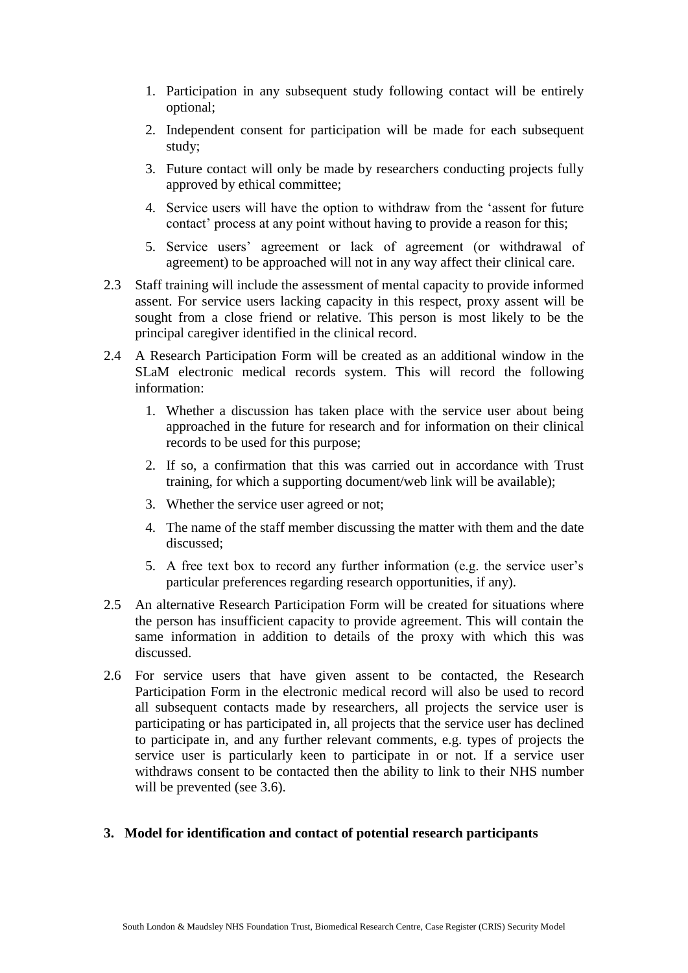- 1. Participation in any subsequent study following contact will be entirely optional;
- 2. Independent consent for participation will be made for each subsequent study;
- 3. Future contact will only be made by researchers conducting projects fully approved by ethical committee;
- 4. Service users will have the option to withdraw from the 'assent for future contact' process at any point without having to provide a reason for this;
- 5. Service users' agreement or lack of agreement (or withdrawal of agreement) to be approached will not in any way affect their clinical care.
- 2.3 Staff training will include the assessment of mental capacity to provide informed assent. For service users lacking capacity in this respect, proxy assent will be sought from a close friend or relative. This person is most likely to be the principal caregiver identified in the clinical record.
- 2.4 A Research Participation Form will be created as an additional window in the SLaM electronic medical records system. This will record the following information:
	- 1. Whether a discussion has taken place with the service user about being approached in the future for research and for information on their clinical records to be used for this purpose;
	- 2. If so, a confirmation that this was carried out in accordance with Trust training, for which a supporting document/web link will be available);
	- 3. Whether the service user agreed or not;
	- 4. The name of the staff member discussing the matter with them and the date discussed;
	- 5. A free text box to record any further information (e.g. the service user's particular preferences regarding research opportunities, if any).
- 2.5 An alternative Research Participation Form will be created for situations where the person has insufficient capacity to provide agreement. This will contain the same information in addition to details of the proxy with which this was discussed.
- 2.6 For service users that have given assent to be contacted, the Research Participation Form in the electronic medical record will also be used to record all subsequent contacts made by researchers, all projects the service user is participating or has participated in, all projects that the service user has declined to participate in, and any further relevant comments, e.g. types of projects the service user is particularly keen to participate in or not. If a service user withdraws consent to be contacted then the ability to link to their NHS number will be prevented (see 3.6).

#### **3. Model for identification and contact of potential research participants**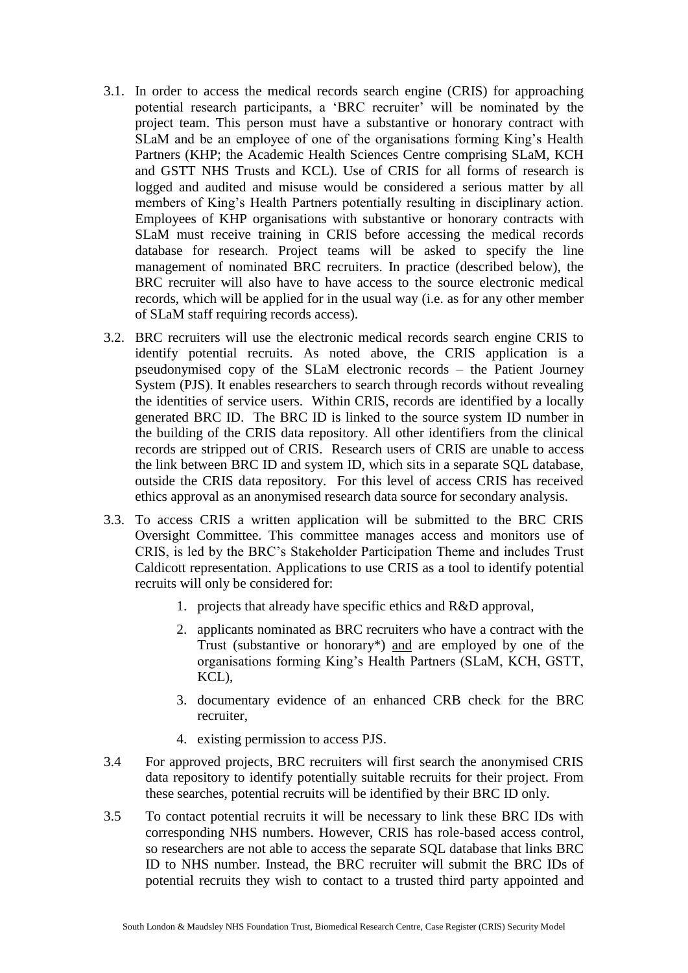- 3.1. In order to access the medical records search engine (CRIS) for approaching potential research participants, a 'BRC recruiter' will be nominated by the project team. This person must have a substantive or honorary contract with SLaM and be an employee of one of the organisations forming King's Health Partners (KHP; the Academic Health Sciences Centre comprising SLaM, KCH and GSTT NHS Trusts and KCL). Use of CRIS for all forms of research is logged and audited and misuse would be considered a serious matter by all members of King's Health Partners potentially resulting in disciplinary action. Employees of KHP organisations with substantive or honorary contracts with SLaM must receive training in CRIS before accessing the medical records database for research. Project teams will be asked to specify the line management of nominated BRC recruiters. In practice (described below), the BRC recruiter will also have to have access to the source electronic medical records, which will be applied for in the usual way (i.e. as for any other member of SLaM staff requiring records access).
- 3.2. BRC recruiters will use the electronic medical records search engine CRIS to identify potential recruits. As noted above, the CRIS application is a pseudonymised copy of the SLaM electronic records – the Patient Journey System (PJS). It enables researchers to search through records without revealing the identities of service users. Within CRIS, records are identified by a locally generated BRC ID. The BRC ID is linked to the source system ID number in the building of the CRIS data repository. All other identifiers from the clinical records are stripped out of CRIS. Research users of CRIS are unable to access the link between BRC ID and system ID, which sits in a separate SQL database, outside the CRIS data repository. For this level of access CRIS has received ethics approval as an anonymised research data source for secondary analysis.
- 3.3. To access CRIS a written application will be submitted to the BRC CRIS Oversight Committee. This committee manages access and monitors use of CRIS, is led by the BRC's Stakeholder Participation Theme and includes Trust Caldicott representation. Applications to use CRIS as a tool to identify potential recruits will only be considered for:
	- 1. projects that already have specific ethics and R&D approval,
	- 2. applicants nominated as BRC recruiters who have a contract with the Trust (substantive or honorary\*) and are employed by one of the organisations forming King's Health Partners (SLaM, KCH, GSTT, KCL),
	- 3. documentary evidence of an enhanced CRB check for the BRC recruiter,
	- 4. existing permission to access PJS.
- 3.4 For approved projects, BRC recruiters will first search the anonymised CRIS data repository to identify potentially suitable recruits for their project. From these searches, potential recruits will be identified by their BRC ID only.
- 3.5 To contact potential recruits it will be necessary to link these BRC IDs with corresponding NHS numbers. However, CRIS has role-based access control, so researchers are not able to access the separate SQL database that links BRC ID to NHS number. Instead, the BRC recruiter will submit the BRC IDs of potential recruits they wish to contact to a trusted third party appointed and